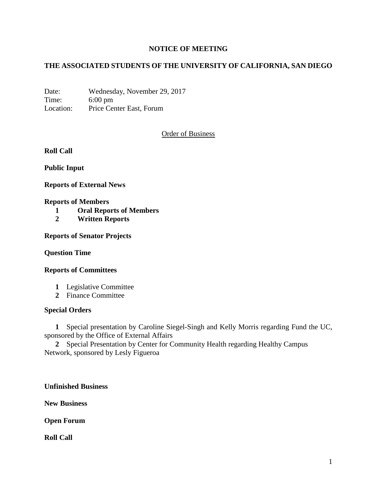## **NOTICE OF MEETING**

# **THE ASSOCIATED STUDENTS OF THE UNIVERSITY OF CALIFORNIA, SAN DIEGO**

Date: Wednesday, November 29, 2017 Time: 6:00 pm Location: Price Center East, Forum

### Order of Business

**Roll Call**

**Public Input**

**Reports of External News**

#### **Reports of Members**

- **1 Oral Reports of Members**
- **2 Written Reports**

**Reports of Senator Projects**

#### **Question Time**

#### **Reports of Committees**

- **1** Legislative Committee
- **2** Finance Committee

#### **Special Orders**

**1** Special presentation by Caroline Siegel-Singh and Kelly Morris regarding Fund the UC, sponsored by the Office of External Affairs

**2** Special Presentation by Center for Community Health regarding Healthy Campus Network, sponsored by Lesly Figueroa

**Unfinished Business**

**New Business**

**Open Forum**

**Roll Call**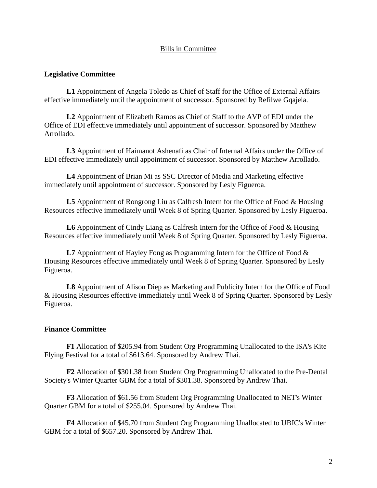### Bills in Committee

### **Legislative Committee**

**L1** Appointment of Angela Toledo as Chief of Staff for the Office of External Affairs effective immediately until the appointment of successor. Sponsored by Refilwe Gqajela.

**L2** Appointment of Elizabeth Ramos as Chief of Staff to the AVP of EDI under the Office of EDI effective immediately until appointment of successor. Sponsored by Matthew Arrollado.

**L3** Appointment of Haimanot Ashenafi as Chair of Internal Affairs under the Office of EDI effective immediately until appointment of successor. Sponsored by Matthew Arrollado.

**L4** Appointment of Brian Mi as SSC Director of Media and Marketing effective immediately until appointment of successor. Sponsored by Lesly Figueroa.

**L5** Appointment of Rongrong Liu as Calfresh Intern for the Office of Food & Housing Resources effective immediately until Week 8 of Spring Quarter. Sponsored by Lesly Figueroa.

**L6** Appointment of Cindy Liang as Calfresh Intern for the Office of Food & Housing Resources effective immediately until Week 8 of Spring Quarter. Sponsored by Lesly Figueroa.

L7 Appointment of Hayley Fong as Programming Intern for the Office of Food  $\&$ Housing Resources effective immediately until Week 8 of Spring Quarter. Sponsored by Lesly Figueroa.

**L8** Appointment of Alison Diep as Marketing and Publicity Intern for the Office of Food & Housing Resources effective immediately until Week 8 of Spring Quarter. Sponsored by Lesly Figueroa.

#### **Finance Committee**

**F1** Allocation of \$205.94 from Student Org Programming Unallocated to the ISA's Kite Flying Festival for a total of \$613.64. Sponsored by Andrew Thai.

**F2** Allocation of \$301.38 from Student Org Programming Unallocated to the Pre-Dental Society's Winter Quarter GBM for a total of \$301.38. Sponsored by Andrew Thai.

**F3** Allocation of \$61.56 from Student Org Programming Unallocated to NET's Winter Quarter GBM for a total of \$255.04. Sponsored by Andrew Thai.

**F4** Allocation of \$45.70 from Student Org Programming Unallocated to UBIC's Winter GBM for a total of \$657.20. Sponsored by Andrew Thai.